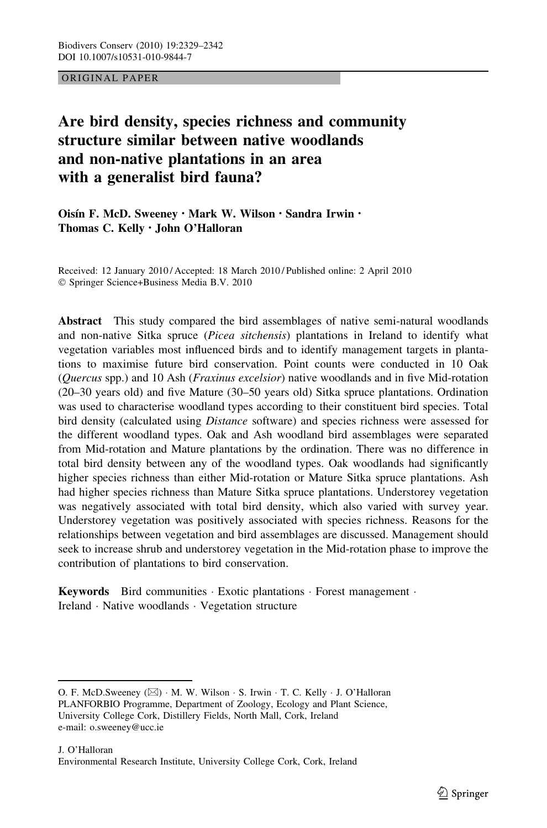## ORIGINAL PAPER

# Are bird density, species richness and community structure similar between native woodlands and non-native plantations in an area with a generalist bird fauna?

# Oisín F. McD. Sweeney · Mark W. Wilson · Sandra Irwin · Thomas C. Kelly • John O'Halloran

Received: 12 January 2010 / Accepted: 18 March 2010 / Published online: 2 April 2010 © Springer Science+Business Media B.V. 2010

Abstract This study compared the bird assemblages of native semi-natural woodlands and non-native Sitka spruce (Picea sitchensis) plantations in Ireland to identify what vegetation variables most influenced birds and to identify management targets in plantations to maximise future bird conservation. Point counts were conducted in 10 Oak (Quercus spp.) and 10 Ash (Fraxinus excelsior) native woodlands and in five Mid-rotation (20–30 years old) and five Mature (30–50 years old) Sitka spruce plantations. Ordination was used to characterise woodland types according to their constituent bird species. Total bird density (calculated using *Distance* software) and species richness were assessed for the different woodland types. Oak and Ash woodland bird assemblages were separated from Mid-rotation and Mature plantations by the ordination. There was no difference in total bird density between any of the woodland types. Oak woodlands had significantly higher species richness than either Mid-rotation or Mature Sitka spruce plantations. Ash had higher species richness than Mature Sitka spruce plantations. Understorey vegetation was negatively associated with total bird density, which also varied with survey year. Understorey vegetation was positively associated with species richness. Reasons for the relationships between vegetation and bird assemblages are discussed. Management should seek to increase shrub and understorey vegetation in the Mid-rotation phase to improve the contribution of plantations to bird conservation.

Keywords Bird communities · Exotic plantations · Forest management · Ireland - Native woodlands - Vegetation structure

O. F. McD. Sweeney (⊠) ⋅ M. W. Wilson ⋅ S. Irwin ⋅ T. C. Kelly ⋅ J. O'Halloran PLANFORBIO Programme, Department of Zoology, Ecology and Plant Science, University College Cork, Distillery Fields, North Mall, Cork, Ireland e-mail: o.sweeney@ucc.ie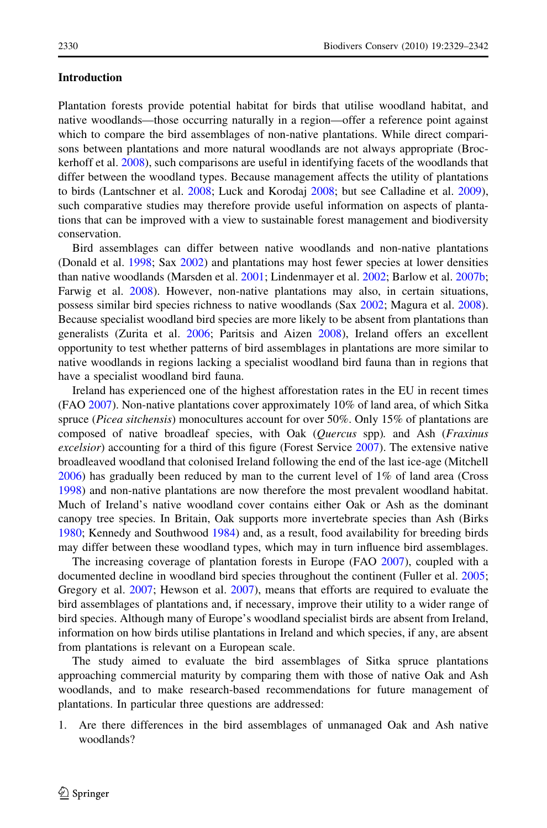#### Introduction

Plantation forests provide potential habitat for birds that utilise woodland habitat, and native woodlands—those occurring naturally in a region—offer a reference point against which to compare the bird assemblages of non-native plantations. While direct comparisons between plantations and more natural woodlands are not always appropriate (Brockerhoff et al. [2008](#page-12-0)), such comparisons are useful in identifying facets of the woodlands that differ between the woodland types. Because management affects the utility of plantations to birds (Lantschner et al. [2008;](#page-13-0) Luck and Korodaj [2008;](#page-13-0) but see Calladine et al. [2009](#page-12-0)), such comparative studies may therefore provide useful information on aspects of plantations that can be improved with a view to sustainable forest management and biodiversity conservation.

Bird assemblages can differ between native woodlands and non-native plantations (Donald et al. [1998](#page-12-0); Sax [2002\)](#page-13-0) and plantations may host fewer species at lower densities than native woodlands (Marsden et al. [2001;](#page-13-0) Lindenmayer et al. [2002](#page-13-0); Barlow et al. [2007b;](#page-12-0) Farwig et al. [2008](#page-12-0)). However, non-native plantations may also, in certain situations, possess similar bird species richness to native woodlands (Sax [2002;](#page-13-0) Magura et al. [2008](#page-13-0)). Because specialist woodland bird species are more likely to be absent from plantations than generalists (Zurita et al. [2006;](#page-13-0) Paritsis and Aizen [2008\)](#page-13-0), Ireland offers an excellent opportunity to test whether patterns of bird assemblages in plantations are more similar to native woodlands in regions lacking a specialist woodland bird fauna than in regions that have a specialist woodland bird fauna.

Ireland has experienced one of the highest afforestation rates in the EU in recent times (FAO [2007](#page-12-0)). Non-native plantations cover approximately 10% of land area, of which Sitka spruce (Picea sitchensis) monocultures account for over 50%. Only 15% of plantations are composed of native broadleaf species, with Oak (Quercus spp). and Ash (Fraxinus excelsior) accounting for a third of this figure (Forest Service [2007\)](#page-12-0). The extensive native broadleaved woodland that colonised Ireland following the end of the last ice-age (Mitchell [2006\)](#page-13-0) has gradually been reduced by man to the current level of 1% of land area (Cross [1998\)](#page-12-0) and non-native plantations are now therefore the most prevalent woodland habitat. Much of Ireland's native woodland cover contains either Oak or Ash as the dominant canopy tree species. In Britain, Oak supports more invertebrate species than Ash (Birks [1980;](#page-12-0) Kennedy and Southwood [1984](#page-13-0)) and, as a result, food availability for breeding birds may differ between these woodland types, which may in turn influence bird assemblages.

The increasing coverage of plantation forests in Europe (FAO [2007](#page-12-0)), coupled with a documented decline in woodland bird species throughout the continent (Fuller et al. [2005;](#page-12-0) Gregory et al. [2007;](#page-13-0) Hewson et al. [2007](#page-13-0)), means that efforts are required to evaluate the bird assemblages of plantations and, if necessary, improve their utility to a wider range of bird species. Although many of Europe's woodland specialist birds are absent from Ireland, information on how birds utilise plantations in Ireland and which species, if any, are absent from plantations is relevant on a European scale.

The study aimed to evaluate the bird assemblages of Sitka spruce plantations approaching commercial maturity by comparing them with those of native Oak and Ash woodlands, and to make research-based recommendations for future management of plantations. In particular three questions are addressed:

1. Are there differences in the bird assemblages of unmanaged Oak and Ash native woodlands?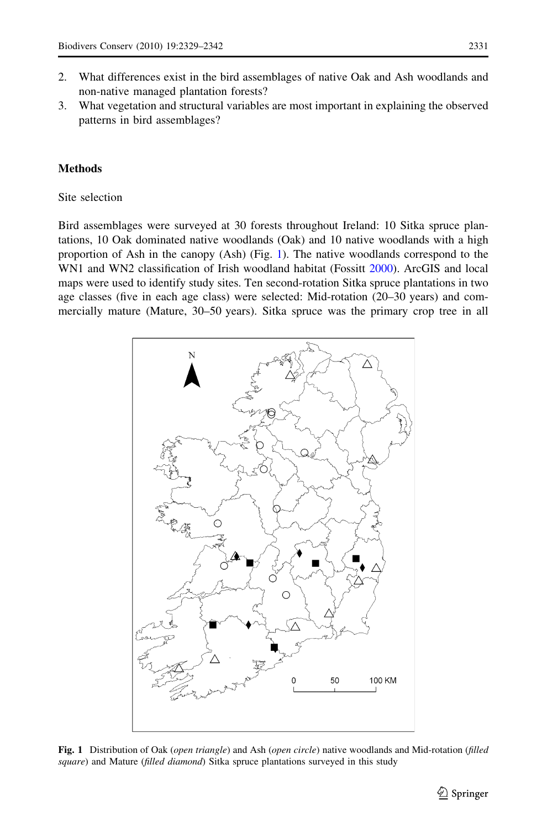- 2. What differences exist in the bird assemblages of native Oak and Ash woodlands and non-native managed plantation forests?
- 3. What vegetation and structural variables are most important in explaining the observed patterns in bird assemblages?

# **Methods**

## Site selection

Bird assemblages were surveyed at 30 forests throughout Ireland: 10 Sitka spruce plantations, 10 Oak dominated native woodlands (Oak) and 10 native woodlands with a high proportion of Ash in the canopy (Ash) (Fig. 1). The native woodlands correspond to the WN1 and WN2 classification of Irish woodland habitat (Fossitt [2000\)](#page-12-0). ArcGIS and local maps were used to identify study sites. Ten second-rotation Sitka spruce plantations in two age classes (five in each age class) were selected: Mid-rotation (20–30 years) and commercially mature (Mature, 30–50 years). Sitka spruce was the primary crop tree in all



Fig. 1 Distribution of Oak (open triangle) and Ash (open circle) native woodlands and Mid-rotation (filled square) and Mature (filled diamond) Sitka spruce plantations surveyed in this study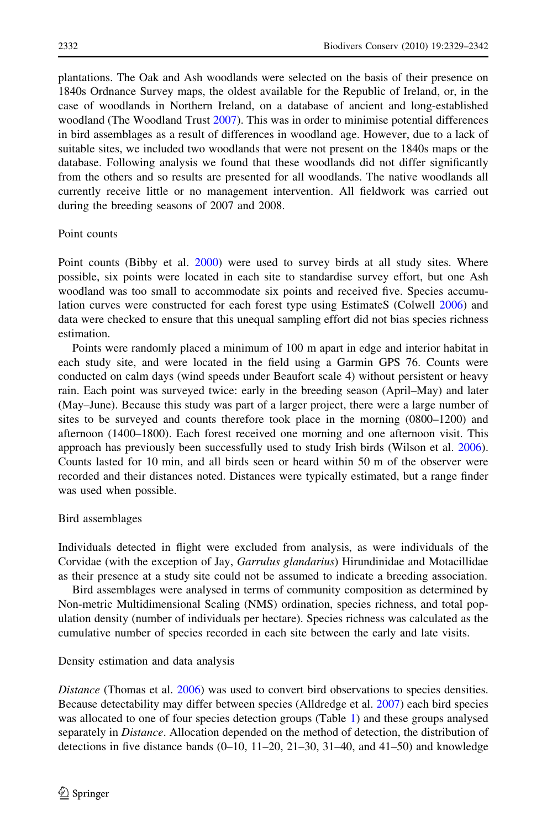plantations. The Oak and Ash woodlands were selected on the basis of their presence on 1840s Ordnance Survey maps, the oldest available for the Republic of Ireland, or, in the case of woodlands in Northern Ireland, on a database of ancient and long-established woodland (The Woodland Trust [2007](#page-13-0)). This was in order to minimise potential differences in bird assemblages as a result of differences in woodland age. However, due to a lack of suitable sites, we included two woodlands that were not present on the 1840s maps or the database. Following analysis we found that these woodlands did not differ significantly from the others and so results are presented for all woodlands. The native woodlands all currently receive little or no management intervention. All fieldwork was carried out during the breeding seasons of 2007 and 2008.

#### Point counts

Point counts (Bibby et al. [2000](#page-12-0)) were used to survey birds at all study sites. Where possible, six points were located in each site to standardise survey effort, but one Ash woodland was too small to accommodate six points and received five. Species accumulation curves were constructed for each forest type using EstimateS (Colwell [2006](#page-12-0)) and data were checked to ensure that this unequal sampling effort did not bias species richness estimation.

Points were randomly placed a minimum of 100 m apart in edge and interior habitat in each study site, and were located in the field using a Garmin GPS 76. Counts were conducted on calm days (wind speeds under Beaufort scale 4) without persistent or heavy rain. Each point was surveyed twice: early in the breeding season (April–May) and later (May–June). Because this study was part of a larger project, there were a large number of sites to be surveyed and counts therefore took place in the morning (0800–1200) and afternoon (1400–1800). Each forest received one morning and one afternoon visit. This approach has previously been successfully used to study Irish birds (Wilson et al. [2006](#page-13-0)). Counts lasted for 10 min, and all birds seen or heard within 50 m of the observer were recorded and their distances noted. Distances were typically estimated, but a range finder was used when possible.

#### Bird assemblages

Individuals detected in flight were excluded from analysis, as were individuals of the Corvidae (with the exception of Jay, Garrulus glandarius) Hirundinidae and Motacillidae as their presence at a study site could not be assumed to indicate a breeding association.

Bird assemblages were analysed in terms of community composition as determined by Non-metric Multidimensional Scaling (NMS) ordination, species richness, and total population density (number of individuals per hectare). Species richness was calculated as the cumulative number of species recorded in each site between the early and late visits.

#### Density estimation and data analysis

Distance (Thomas et al. [2006](#page-13-0)) was used to convert bird observations to species densities. Because detectability may differ between species (Alldredge et al. [2007\)](#page-12-0) each bird species was allocated to one of four species detection groups (Table [1](#page-4-0)) and these groups analysed separately in *Distance*. Allocation depended on the method of detection, the distribution of detections in five distance bands  $(0-10, 11-20, 21-30, 31-40,$  and  $41-50)$  and knowledge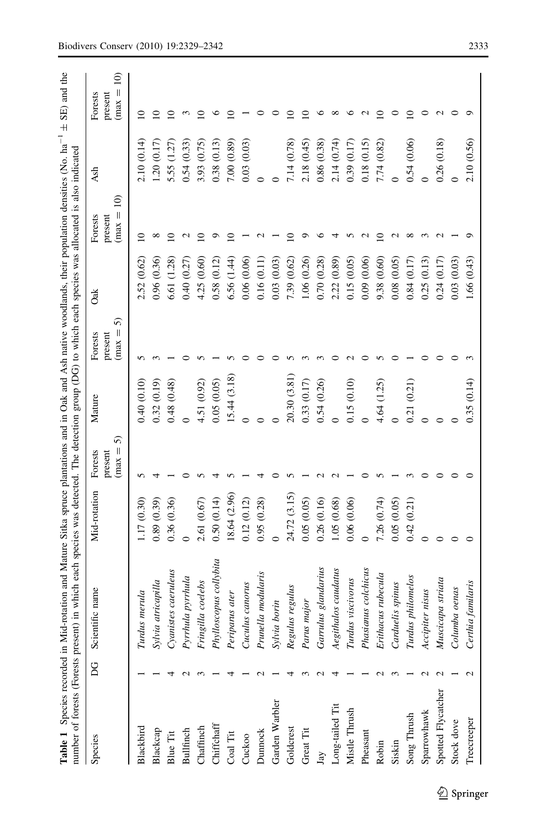<span id="page-4-0"></span>

| Species            | Š | Scientific name         | Mid-rotation | Forests<br>present | Mature       | Forests<br>present | ðă             | present<br>Forests         | Ash         | Forests<br>present   |
|--------------------|---|-------------------------|--------------|--------------------|--------------|--------------------|----------------|----------------------------|-------------|----------------------|
|                    |   |                         |              | $(max = 5)$        |              | ົດ<br>$(max =$     |                | $\overline{10}$<br>$max =$ |             | $\approx$<br>$max =$ |
| Blackbird          |   | merula<br><b>Turdus</b> | 1.17 (0.30)  |                    | 0.40(0.10)   |                    | 2.52(0.62)     | $\mathbf{C}$               | 2.10(0.14)  | $\supseteq$          |
| Blackcap           |   | Sylvia atricapilla      | 0.89(0.39)   |                    | 0.32(0.19)   |                    | 0.96(0.36)     | ∞                          | 1.20(0.17)  |                      |
| <b>Blue Tit</b>    |   | Cyanistes caeruleus     | 0.36 (0.36)  |                    | 0.48(0.48)   |                    | 6.61 (1.28)    | ⊂                          | 5.55 (1.27) |                      |
| Bullfinch          |   | Pyrrhula pyrrhula       | $\circ$      |                    |              |                    | 0.40(0.27)     |                            | 0.54(0.33)  |                      |
| Chaffinch          |   | Fringilla coelebs       | 2.61 (0.67)  |                    | 4.51 (0.92)  |                    | 4.25 (0.60)    |                            | 3.93 (0.75) |                      |
| Chiffchaff         |   | Phylloscopus collybita  | 0.50(0.14)   |                    | 0.05(0.05)   |                    | 0.58(0.12)     |                            | 0.38(0.13)  |                      |
| Coal Tit           |   | Periparus ater          | 18.64 (2.96) |                    | 15.44(3.18)  |                    | 6.56 (1.44)    |                            | 7.00 (0.89) |                      |
| Cuckoo             |   | Cuculus canorus         | 0.12(0.12)   |                    |              |                    | 0.06(0.06)     |                            | 0.03(0.03)  |                      |
| Dunnock            |   | Prunella modularis      | 0.95(0.28)   |                    |              |                    | 0.16(0.11)     |                            |             |                      |
| Garden Warbler     |   | Sylvia borin            |              |                    |              |                    | 0.03(0.03)     |                            |             |                      |
| Goldcrest          |   | Regulus regulus         | 24.72 (3.15) |                    | 20.30 (3.81) |                    | 7.39(0.62)     |                            | 7.14 (0.78) |                      |
| Great Tit          |   | Parus major             | 0.05(0.05)   |                    | 0.33(0.17)   |                    | 1.06 (0.26)    |                            | 2.18 (0.45) |                      |
| Jay                |   | Garrulus glandarius     | 0.26(0.16)   |                    | 0.54(0.26)   |                    | 0.70(0.28)     |                            | 0.86(0.38)  |                      |
| Long-tailed Tit    |   | Aegithalos caudatus     | 1.05(0.68)   |                    |              |                    | 2.22(0.89)     |                            | 2.14(0.74)  |                      |
| Mistle Thrush      |   | Turdus viscivorus       | 0.06(0.06)   |                    | 0.15(0.10)   |                    | 0.15(0.05)     |                            | 0.39(0.17)  |                      |
| Pheasant           |   | Phasianus colchicus     | $\circ$      |                    |              |                    | 0.09(0.06)     |                            | 0.18(0.15)  |                      |
| Robin              |   | Erithacus rubecula      | 7.26(0.74)   |                    | 4.64(1.25)   |                    | 9.38(0.60)     |                            | 7.74 (0.82) |                      |
| Siskin             |   | Carduelis spinus        | 0.05(0.05)   |                    |              |                    | 0.08(0.05)     |                            |             |                      |
| Song Thrush        |   | Turdus philomelos       | 0.42(0.21)   |                    | 0.21(0.21)   |                    | (0.17)<br>0.84 |                            | 0.54(0.06)  |                      |
| Sparrowhawk        |   | Accipiter nisus         |              |                    |              |                    | 0.25(0.13)     |                            |             |                      |
| Spotted Flycatcher |   | Muscicapa striata       |              |                    |              |                    | 0.24(0.17)     |                            | 0.26(0.18)  |                      |
| Stock dove         |   | Columba oenas           |              |                    |              |                    | 0.03(0.03)     |                            |             |                      |
| Treecreeper        |   | familaris<br>Certhia    |              |                    | 0.35(0.14)   |                    | 1.66(0.43)     |                            | 2.10 (0.56) |                      |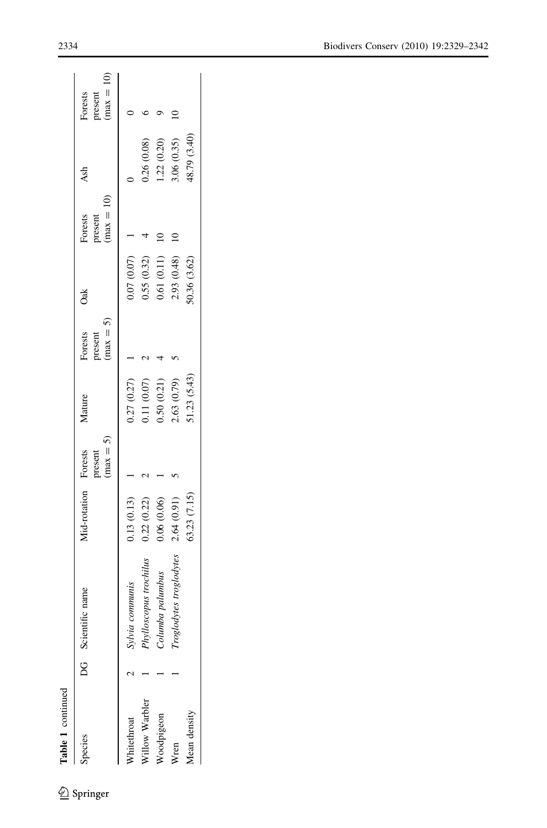| Table 1 continued         |                         |                      |                        |              |                                          |              |                                    |              |                                            |
|---------------------------|-------------------------|----------------------|------------------------|--------------|------------------------------------------|--------------|------------------------------------|--------------|--------------------------------------------|
| pecies                    | tific name<br>DG Scien  | Mid-rotation Forests | present<br>$(max = 5)$ | Mature       | Forests<br>present<br>$(\text{max} = 5)$ | ðák          | present<br>$(max = 10)$<br>Forests | Ash          | Forests<br>present<br>${\rm (max)} = 10$ ) |
| Thitethroat               | comm units<br>Sylvic    | 0.13(0.13)           |                        | 0.27(0.27)   |                                          | 0.07(0.07)   |                                    |              |                                            |
| Villow Warbler            | Phylloscopus trochilus  | 0.22(0.22)           |                        | 0.11(0.07)   |                                          | 0.55(0.32)   |                                    | 0.26(0.08)   |                                            |
| $\sqrt{\text{codpigeon}}$ | Columba palumbus        | 0.06(0.06)           |                        | 0.50(0.21)   |                                          | 0.61(0.11)   |                                    | 1.22(0.20)   |                                            |
| Vren                      | Troglodytes troglodytes | 2.64(0.91)           |                        | 2.63 (0.79)  |                                          | 2.93(0.48)   |                                    | 8.06 (0.35)  |                                            |
| lean density              |                         | 63.23 (7.15)         |                        | 51.23 (5.43) |                                          | 50.36 (3.62) |                                    | 18.79 (3.40) |                                            |
|                           |                         |                      |                        |              |                                          |              |                                    |              |                                            |
|                           |                         |                      |                        |              |                                          |              |                                    |              |                                            |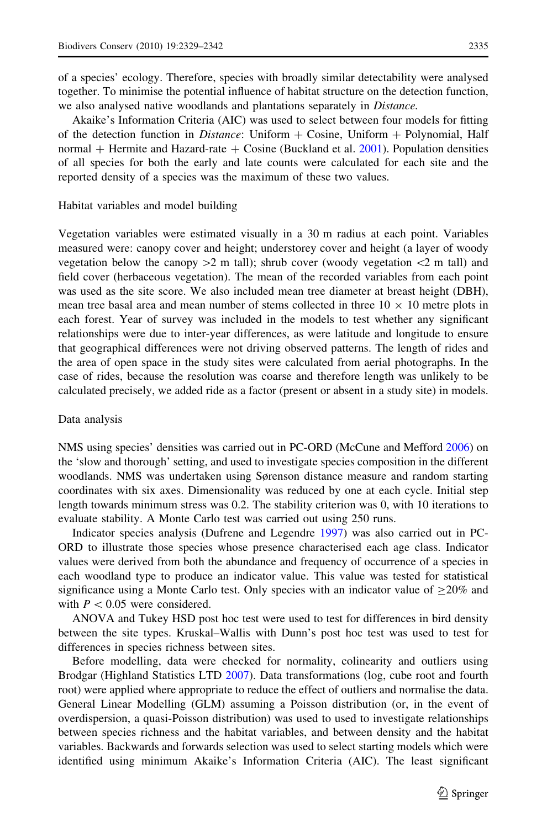of a species' ecology. Therefore, species with broadly similar detectability were analysed together. To minimise the potential influence of habitat structure on the detection function, we also analysed native woodlands and plantations separately in Distance.

Akaike's Information Criteria (AIC) was used to select between four models for fitting of the detection function in *Distance*: Uniform  $+$  Cosine, Uniform  $+$  Polynomial, Half normal  $+$  Hermite and Hazard-rate  $+$  Cosine (Buckland et al. [2001](#page-12-0)). Population densities of all species for both the early and late counts were calculated for each site and the reported density of a species was the maximum of these two values.

#### Habitat variables and model building

Vegetation variables were estimated visually in a 30 m radius at each point. Variables measured were: canopy cover and height; understorey cover and height (a layer of woody vegetation below the canopy  $>2$  m tall); shrub cover (woody vegetation  $<$ 2 m tall) and field cover (herbaceous vegetation). The mean of the recorded variables from each point was used as the site score. We also included mean tree diameter at breast height (DBH), mean tree basal area and mean number of stems collected in three  $10 \times 10$  metre plots in each forest. Year of survey was included in the models to test whether any significant relationships were due to inter-year differences, as were latitude and longitude to ensure that geographical differences were not driving observed patterns. The length of rides and the area of open space in the study sites were calculated from aerial photographs. In the case of rides, because the resolution was coarse and therefore length was unlikely to be calculated precisely, we added ride as a factor (present or absent in a study site) in models.

#### Data analysis

NMS using species' densities was carried out in PC-ORD (McCune and Mefford [2006](#page-13-0)) on the 'slow and thorough' setting, and used to investigate species composition in the different woodlands. NMS was undertaken using Sørenson distance measure and random starting coordinates with six axes. Dimensionality was reduced by one at each cycle. Initial step length towards minimum stress was 0.2. The stability criterion was 0, with 10 iterations to evaluate stability. A Monte Carlo test was carried out using 250 runs.

Indicator species analysis (Dufrene and Legendre [1997\)](#page-12-0) was also carried out in PC-ORD to illustrate those species whose presence characterised each age class. Indicator values were derived from both the abundance and frequency of occurrence of a species in each woodland type to produce an indicator value. This value was tested for statistical significance using a Monte Carlo test. Only species with an indicator value of  $\geq$ 20% and with  $P < 0.05$  were considered.

ANOVA and Tukey HSD post hoc test were used to test for differences in bird density between the site types. Kruskal–Wallis with Dunn's post hoc test was used to test for differences in species richness between sites.

Before modelling, data were checked for normality, colinearity and outliers using Brodgar (Highland Statistics LTD [2007](#page-13-0)). Data transformations (log, cube root and fourth root) were applied where appropriate to reduce the effect of outliers and normalise the data. General Linear Modelling (GLM) assuming a Poisson distribution (or, in the event of overdispersion, a quasi-Poisson distribution) was used to used to investigate relationships between species richness and the habitat variables, and between density and the habitat variables. Backwards and forwards selection was used to select starting models which were identified using minimum Akaike's Information Criteria (AIC). The least significant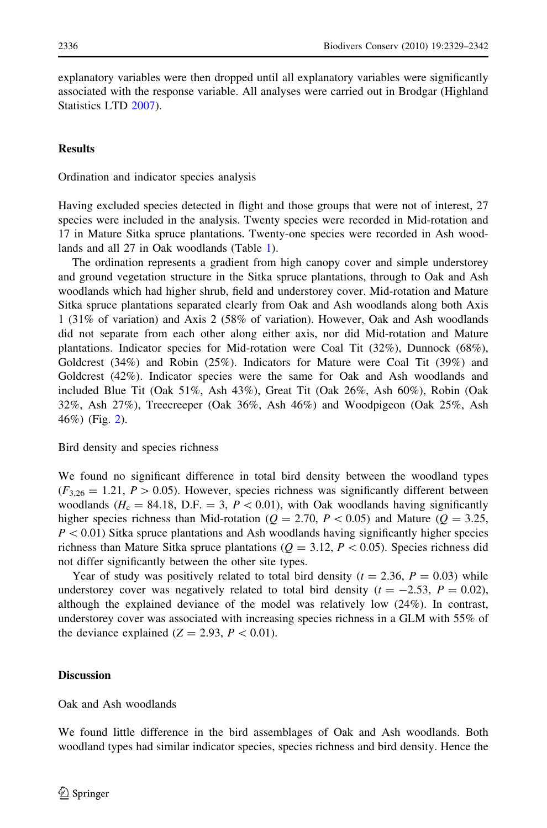explanatory variables were then dropped until all explanatory variables were significantly associated with the response variable. All analyses were carried out in Brodgar (Highland Statistics LTD [2007\)](#page-13-0).

#### **Results**

Ordination and indicator species analysis

Having excluded species detected in flight and those groups that were not of interest, 27 species were included in the analysis. Twenty species were recorded in Mid-rotation and 17 in Mature Sitka spruce plantations. Twenty-one species were recorded in Ash woodlands and all 27 in Oak woodlands (Table [1](#page-4-0)).

The ordination represents a gradient from high canopy cover and simple understorey and ground vegetation structure in the Sitka spruce plantations, through to Oak and Ash woodlands which had higher shrub, field and understorey cover. Mid-rotation and Mature Sitka spruce plantations separated clearly from Oak and Ash woodlands along both Axis 1 (31% of variation) and Axis 2 (58% of variation). However, Oak and Ash woodlands did not separate from each other along either axis, nor did Mid-rotation and Mature plantations. Indicator species for Mid-rotation were Coal Tit (32%), Dunnock (68%), Goldcrest (34%) and Robin (25%). Indicators for Mature were Coal Tit (39%) and Goldcrest (42%). Indicator species were the same for Oak and Ash woodlands and included Blue Tit (Oak 51%, Ash 43%), Great Tit (Oak 26%, Ash 60%), Robin (Oak 32%, Ash 27%), Treecreeper (Oak 36%, Ash 46%) and Woodpigeon (Oak 25%, Ash 46%) (Fig. [2](#page-8-0)).

Bird density and species richness

We found no significant difference in total bird density between the woodland types  $(F_{3,26} = 1.21, P > 0.05)$ . However, species richness was significantly different between woodlands ( $H_c = 84.18$ , D.F. = 3, P < 0.01), with Oak woodlands having significantly higher species richness than Mid-rotation ( $Q = 2.70$ ,  $P < 0.05$ ) and Mature ( $Q = 3.25$ ,  $P<0.01$ ) Sitka spruce plantations and Ash woodlands having significantly higher species richness than Mature Sitka spruce plantations ( $Q = 3.12$ ,  $P \lt 0.05$ ). Species richness did not differ significantly between the other site types.

Year of study was positively related to total bird density  $(t = 2.36, P = 0.03)$  while understorey cover was negatively related to total bird density  $(t = -2.53, P = 0.02)$ , although the explained deviance of the model was relatively low (24%). In contrast, understorey cover was associated with increasing species richness in a GLM with 55% of the deviance explained ( $Z = 2.93$ ,  $P \lt 0.01$ ).

#### **Discussion**

Oak and Ash woodlands

We found little difference in the bird assemblages of Oak and Ash woodlands. Both woodland types had similar indicator species, species richness and bird density. Hence the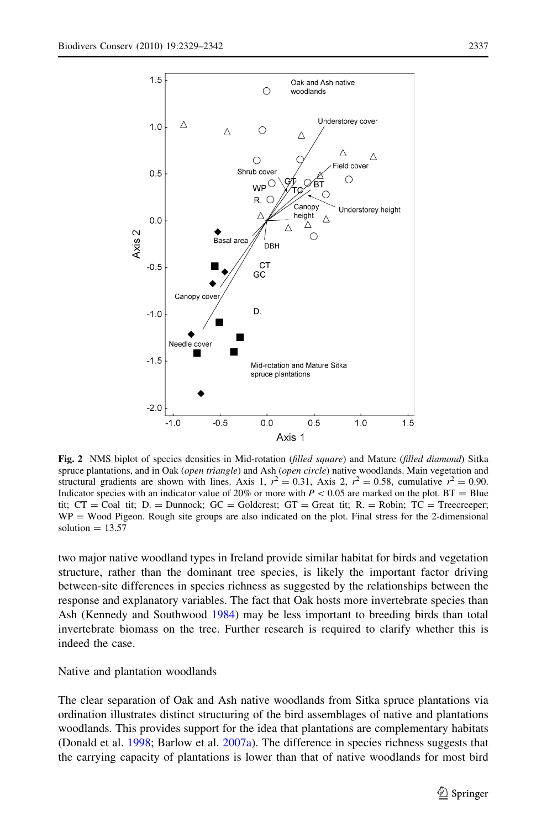$1.5$ 

<span id="page-8-0"></span>

Fig. 2 NMS biplot of species densities in Mid-rotation (filled square) and Mature (filled diamond) Sitka spruce plantations, and in Oak (open triangle) and Ash (open circle) native woodlands. Main vegetation and structural gradients are shown with lines. Axis 1,  $r^2 = 0.31$ , Axis 2,  $r^2 = 0.58$ , cumulative  $r^2 = 0.90$ . Indicator species with an indicator value of 20% or more with  $P < 0.05$  are marked on the plot. BT = Blue tit;  $CT = Coal$  tit;  $D =$  Dunnock;  $GC =$  Goldcrest;  $GT =$  Great tit;  $R =$  Robin;  $TC =$  Treecreeper; WP = Wood Pigeon. Rough site groups are also indicated on the plot. Final stress for the 2-dimensional solution  $= 13.57$ 

two major native woodland types in Ireland provide similar habitat for birds and vegetation structure, rather than the dominant tree species, is likely the important factor driving between-site differences in species richness as suggested by the relationships between the response and explanatory variables. The fact that Oak hosts more invertebrate species than Ash (Kennedy and Southwood [1984\)](#page-13-0) may be less important to breeding birds than total invertebrate biomass on the tree. Further research is required to clarify whether this is indeed the case.

Native and plantation woodlands

The clear separation of Oak and Ash native woodlands from Sitka spruce plantations via ordination illustrates distinct structuring of the bird assemblages of native and plantations woodlands. This provides support for the idea that plantations are complementary habitats (Donald et al. [1998](#page-12-0); Barlow et al. [2007a](#page-12-0)). The difference in species richness suggests that the carrying capacity of plantations is lower than that of native woodlands for most bird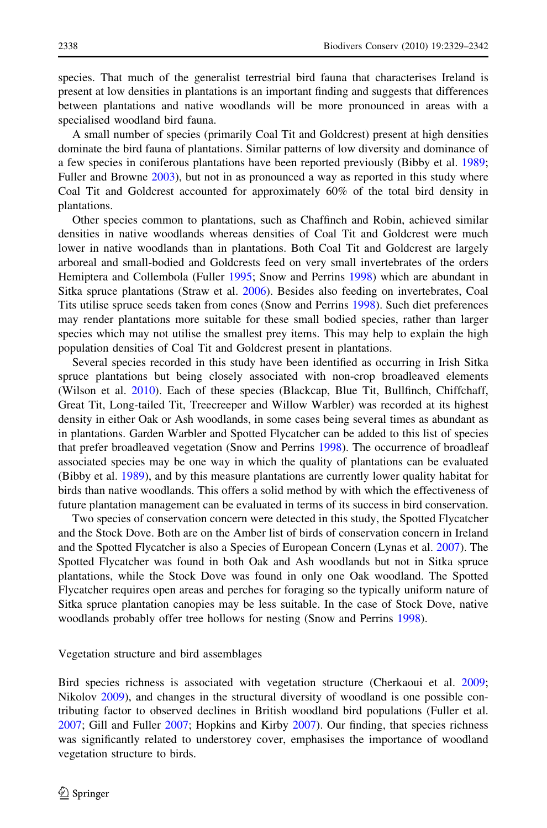species. That much of the generalist terrestrial bird fauna that characterises Ireland is present at low densities in plantations is an important finding and suggests that differences between plantations and native woodlands will be more pronounced in areas with a specialised woodland bird fauna.

A small number of species (primarily Coal Tit and Goldcrest) present at high densities dominate the bird fauna of plantations. Similar patterns of low diversity and dominance of a few species in coniferous plantations have been reported previously (Bibby et al. [1989;](#page-12-0) Fuller and Browne [2003\)](#page-12-0), but not in as pronounced a way as reported in this study where Coal Tit and Goldcrest accounted for approximately 60% of the total bird density in plantations.

Other species common to plantations, such as Chaffinch and Robin, achieved similar densities in native woodlands whereas densities of Coal Tit and Goldcrest were much lower in native woodlands than in plantations. Both Coal Tit and Goldcrest are largely arboreal and small-bodied and Goldcrests feed on very small invertebrates of the orders Hemiptera and Collembola (Fuller [1995;](#page-12-0) Snow and Perrins [1998](#page-13-0)) which are abundant in Sitka spruce plantations (Straw et al. [2006](#page-13-0)). Besides also feeding on invertebrates, Coal Tits utilise spruce seeds taken from cones (Snow and Perrins [1998\)](#page-13-0). Such diet preferences may render plantations more suitable for these small bodied species, rather than larger species which may not utilise the smallest prey items. This may help to explain the high population densities of Coal Tit and Goldcrest present in plantations.

Several species recorded in this study have been identified as occurring in Irish Sitka spruce plantations but being closely associated with non-crop broadleaved elements (Wilson et al. [2010\)](#page-13-0). Each of these species (Blackcap, Blue Tit, Bullfinch, Chiffchaff, Great Tit, Long-tailed Tit, Treecreeper and Willow Warbler) was recorded at its highest density in either Oak or Ash woodlands, in some cases being several times as abundant as in plantations. Garden Warbler and Spotted Flycatcher can be added to this list of species that prefer broadleaved vegetation (Snow and Perrins [1998\)](#page-13-0). The occurrence of broadleaf associated species may be one way in which the quality of plantations can be evaluated (Bibby et al. [1989](#page-12-0)), and by this measure plantations are currently lower quality habitat for birds than native woodlands. This offers a solid method by with which the effectiveness of future plantation management can be evaluated in terms of its success in bird conservation.

Two species of conservation concern were detected in this study, the Spotted Flycatcher and the Stock Dove. Both are on the Amber list of birds of conservation concern in Ireland and the Spotted Flycatcher is also a Species of European Concern (Lynas et al. [2007\)](#page-13-0). The Spotted Flycatcher was found in both Oak and Ash woodlands but not in Sitka spruce plantations, while the Stock Dove was found in only one Oak woodland. The Spotted Flycatcher requires open areas and perches for foraging so the typically uniform nature of Sitka spruce plantation canopies may be less suitable. In the case of Stock Dove, native woodlands probably offer tree hollows for nesting (Snow and Perrins [1998](#page-13-0)).

Vegetation structure and bird assemblages

Bird species richness is associated with vegetation structure (Cherkaoui et al. [2009;](#page-12-0) Nikolov [2009](#page-13-0)), and changes in the structural diversity of woodland is one possible contributing factor to observed declines in British woodland bird populations (Fuller et al. [2007;](#page-12-0) Gill and Fuller [2007;](#page-12-0) Hopkins and Kirby [2007](#page-13-0)). Our finding, that species richness was significantly related to understorey cover, emphasises the importance of woodland vegetation structure to birds.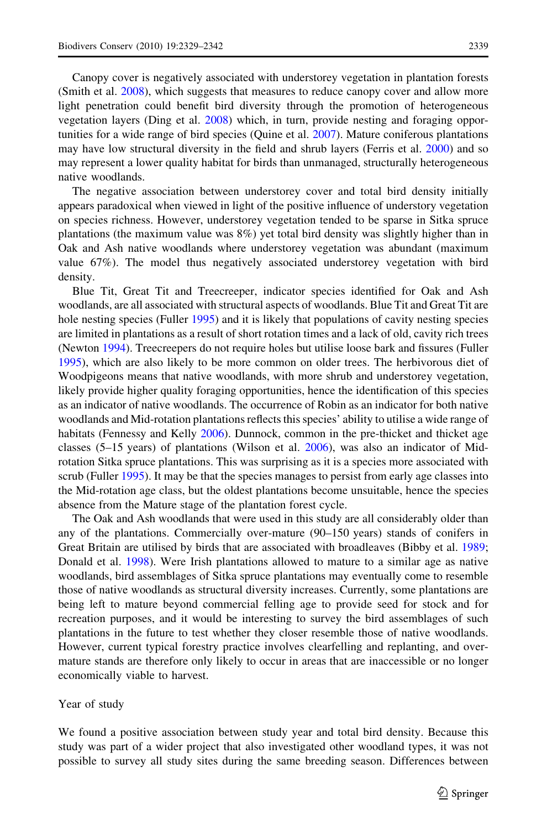Canopy cover is negatively associated with understorey vegetation in plantation forests (Smith et al. [2008](#page-13-0)), which suggests that measures to reduce canopy cover and allow more light penetration could benefit bird diversity through the promotion of heterogeneous vegetation layers (Ding et al. [2008\)](#page-12-0) which, in turn, provide nesting and foraging opportunities for a wide range of bird species (Quine et al. [2007](#page-13-0)). Mature coniferous plantations may have low structural diversity in the field and shrub layers (Ferris et al. [2000](#page-12-0)) and so may represent a lower quality habitat for birds than unmanaged, structurally heterogeneous native woodlands.

The negative association between understorey cover and total bird density initially appears paradoxical when viewed in light of the positive influence of understory vegetation on species richness. However, understorey vegetation tended to be sparse in Sitka spruce plantations (the maximum value was 8%) yet total bird density was slightly higher than in Oak and Ash native woodlands where understorey vegetation was abundant (maximum value 67%). The model thus negatively associated understorey vegetation with bird density.

Blue Tit, Great Tit and Treecreeper, indicator species identified for Oak and Ash woodlands, are all associated with structural aspects of woodlands. Blue Tit and Great Tit are hole nesting species (Fuller [1995\)](#page-12-0) and it is likely that populations of cavity nesting species are limited in plantations as a result of short rotation times and a lack of old, cavity rich trees (Newton [1994](#page-13-0)). Treecreepers do not require holes but utilise loose bark and fissures (Fuller [1995\)](#page-12-0), which are also likely to be more common on older trees. The herbivorous diet of Woodpigeons means that native woodlands, with more shrub and understorey vegetation, likely provide higher quality foraging opportunities, hence the identification of this species as an indicator of native woodlands. The occurrence of Robin as an indicator for both native woodlands and Mid-rotation plantations reflects this species' ability to utilise a wide range of habitats (Fennessy and Kelly [2006](#page-12-0)). Dunnock, common in the pre-thicket and thicket age classes (5–15 years) of plantations (Wilson et al. [2006](#page-13-0)), was also an indicator of Midrotation Sitka spruce plantations. This was surprising as it is a species more associated with scrub (Fuller [1995](#page-12-0)). It may be that the species manages to persist from early age classes into the Mid-rotation age class, but the oldest plantations become unsuitable, hence the species absence from the Mature stage of the plantation forest cycle.

The Oak and Ash woodlands that were used in this study are all considerably older than any of the plantations. Commercially over-mature (90–150 years) stands of conifers in Great Britain are utilised by birds that are associated with broadleaves (Bibby et al. [1989;](#page-12-0) Donald et al. [1998](#page-12-0)). Were Irish plantations allowed to mature to a similar age as native woodlands, bird assemblages of Sitka spruce plantations may eventually come to resemble those of native woodlands as structural diversity increases. Currently, some plantations are being left to mature beyond commercial felling age to provide seed for stock and for recreation purposes, and it would be interesting to survey the bird assemblages of such plantations in the future to test whether they closer resemble those of native woodlands. However, current typical forestry practice involves clearfelling and replanting, and overmature stands are therefore only likely to occur in areas that are inaccessible or no longer economically viable to harvest.

#### Year of study

We found a positive association between study year and total bird density. Because this study was part of a wider project that also investigated other woodland types, it was not possible to survey all study sites during the same breeding season. Differences between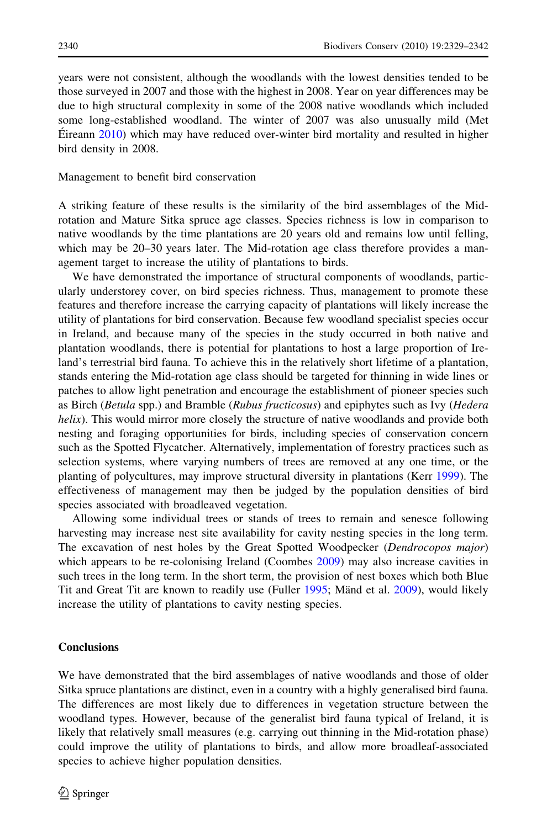years were not consistent, although the woodlands with the lowest densities tended to be those surveyed in 2007 and those with the highest in 2008. Year on year differences may be due to high structural complexity in some of the 2008 native woodlands which included some long-established woodland. The winter of 2007 was also unusually mild (Met Eireann  $2010$ ) which may have reduced over-winter bird mortality and resulted in higher bird density in 2008.

#### Management to benefit bird conservation

A striking feature of these results is the similarity of the bird assemblages of the Midrotation and Mature Sitka spruce age classes. Species richness is low in comparison to native woodlands by the time plantations are 20 years old and remains low until felling, which may be 20–30 years later. The Mid-rotation age class therefore provides a management target to increase the utility of plantations to birds.

We have demonstrated the importance of structural components of woodlands, particularly understorey cover, on bird species richness. Thus, management to promote these features and therefore increase the carrying capacity of plantations will likely increase the utility of plantations for bird conservation. Because few woodland specialist species occur in Ireland, and because many of the species in the study occurred in both native and plantation woodlands, there is potential for plantations to host a large proportion of Ireland's terrestrial bird fauna. To achieve this in the relatively short lifetime of a plantation, stands entering the Mid-rotation age class should be targeted for thinning in wide lines or patches to allow light penetration and encourage the establishment of pioneer species such as Birch (Betula spp.) and Bramble (Rubus fructicosus) and epiphytes such as Ivy (Hedera helix). This would mirror more closely the structure of native woodlands and provide both nesting and foraging opportunities for birds, including species of conservation concern such as the Spotted Flycatcher. Alternatively, implementation of forestry practices such as selection systems, where varying numbers of trees are removed at any one time, or the planting of polycultures, may improve structural diversity in plantations (Kerr [1999](#page-13-0)). The effectiveness of management may then be judged by the population densities of bird species associated with broadleaved vegetation.

Allowing some individual trees or stands of trees to remain and senesce following harvesting may increase nest site availability for cavity nesting species in the long term. The excavation of nest holes by the Great Spotted Woodpecker (Dendrocopos major) which appears to be re-colonising Ireland (Coombes [2009](#page-12-0)) may also increase cavities in such trees in the long term. In the short term, the provision of nest boxes which both Blue Tit and Great Tit are known to readily use (Fuller [1995](#page-12-0); Mänd et al. [2009\)](#page-13-0), would likely increase the utility of plantations to cavity nesting species.

## **Conclusions**

We have demonstrated that the bird assemblages of native woodlands and those of older Sitka spruce plantations are distinct, even in a country with a highly generalised bird fauna. The differences are most likely due to differences in vegetation structure between the woodland types. However, because of the generalist bird fauna typical of Ireland, it is likely that relatively small measures (e.g. carrying out thinning in the Mid-rotation phase) could improve the utility of plantations to birds, and allow more broadleaf-associated species to achieve higher population densities.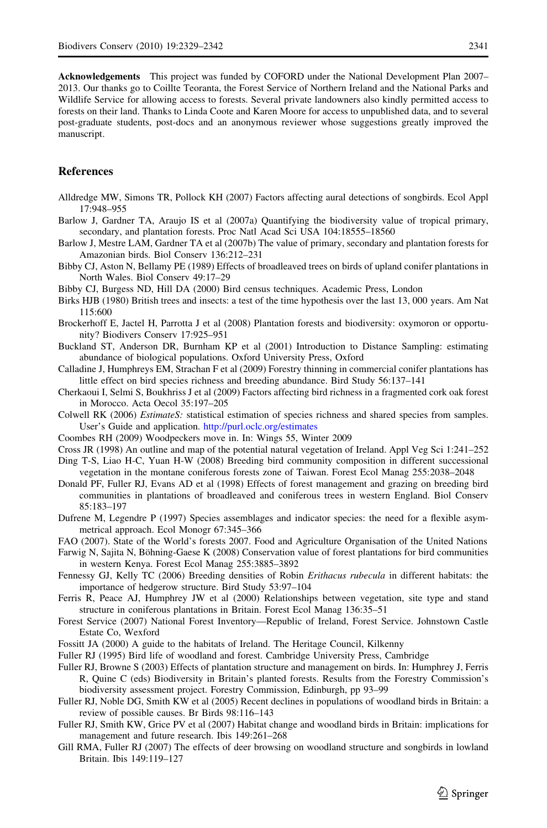<span id="page-12-0"></span>Acknowledgements This project was funded by COFORD under the National Development Plan 2007– 2013. Our thanks go to Coillte Teoranta, the Forest Service of Northern Ireland and the National Parks and Wildlife Service for allowing access to forests. Several private landowners also kindly permitted access to forests on their land. Thanks to Linda Coote and Karen Moore for access to unpublished data, and to several post-graduate students, post-docs and an anonymous reviewer whose suggestions greatly improved the manuscript.

#### **References**

- Alldredge MW, Simons TR, Pollock KH (2007) Factors affecting aural detections of songbirds. Ecol Appl 17:948–955
- Barlow J, Gardner TA, Araujo IS et al (2007a) Quantifying the biodiversity value of tropical primary, secondary, and plantation forests. Proc Natl Acad Sci USA 104:18555–18560
- Barlow J, Mestre LAM, Gardner TA et al (2007b) The value of primary, secondary and plantation forests for Amazonian birds. Biol Conserv 136:212–231
- Bibby CJ, Aston N, Bellamy PE (1989) Effects of broadleaved trees on birds of upland conifer plantations in North Wales. Biol Conserv 49:17–29
- Bibby CJ, Burgess ND, Hill DA (2000) Bird census techniques. Academic Press, London
- Birks HJB (1980) British trees and insects: a test of the time hypothesis over the last 13, 000 years. Am Nat 115:600
- Brockerhoff E, Jactel H, Parrotta J et al (2008) Plantation forests and biodiversity: oxymoron or opportunity? Biodivers Conserv 17:925–951
- Buckland ST, Anderson DR, Burnham KP et al (2001) Introduction to Distance Sampling: estimating abundance of biological populations. Oxford University Press, Oxford
- Calladine J, Humphreys EM, Strachan F et al (2009) Forestry thinning in commercial conifer plantations has little effect on bird species richness and breeding abundance. Bird Study 56:137–141
- Cherkaoui I, Selmi S, Boukhriss J et al (2009) Factors affecting bird richness in a fragmented cork oak forest in Morocco. Acta Oecol 35:197–205
- Colwell RK (2006) EstimateS: statistical estimation of species richness and shared species from samples. User's Guide and application. <http://purl.oclc.org/estimates>
- Coombes RH (2009) Woodpeckers move in. In: Wings 55, Winter 2009
- Cross JR (1998) An outline and map of the potential natural vegetation of Ireland. Appl Veg Sci 1:241–252
- Ding T-S, Liao H-C, Yuan H-W (2008) Breeding bird community composition in different successional vegetation in the montane coniferous forests zone of Taiwan. Forest Ecol Manag 255:2038–2048
- Donald PF, Fuller RJ, Evans AD et al (1998) Effects of forest management and grazing on breeding bird communities in plantations of broadleaved and coniferous trees in western England. Biol Conserv 85:183–197
- Dufrene M, Legendre P (1997) Species assemblages and indicator species: the need for a flexible asymmetrical approach. Ecol Monogr 67:345–366
- FAO (2007). State of the World's forests 2007. Food and Agriculture Organisation of the United Nations
- Farwig N, Sajita N, Böhning-Gaese K (2008) Conservation value of forest plantations for bird communities in western Kenya. Forest Ecol Manag 255:3885–3892
- Fennessy GJ, Kelly TC (2006) Breeding densities of Robin Erithacus rubecula in different habitats: the importance of hedgerow structure. Bird Study 53:97–104
- Ferris R, Peace AJ, Humphrey JW et al (2000) Relationships between vegetation, site type and stand structure in coniferous plantations in Britain. Forest Ecol Manag 136:35–51
- Forest Service (2007) National Forest Inventory—Republic of Ireland, Forest Service. Johnstown Castle Estate Co, Wexford
- Fossitt JA (2000) A guide to the habitats of Ireland. The Heritage Council, Kilkenny
- Fuller RJ (1995) Bird life of woodland and forest. Cambridge University Press, Cambridge
- Fuller RJ, Browne S (2003) Effects of plantation structure and management on birds. In: Humphrey J, Ferris R, Quine C (eds) Biodiversity in Britain's planted forests. Results from the Forestry Commission's biodiversity assessment project. Forestry Commission, Edinburgh, pp 93–99
- Fuller RJ, Noble DG, Smith KW et al (2005) Recent declines in populations of woodland birds in Britain: a review of possible causes. Br Birds 98:116–143
- Fuller RJ, Smith KW, Grice PV et al (2007) Habitat change and woodland birds in Britain: implications for management and future research. Ibis 149:261–268
- Gill RMA, Fuller RJ (2007) The effects of deer browsing on woodland structure and songbirds in lowland Britain. Ibis 149:119–127